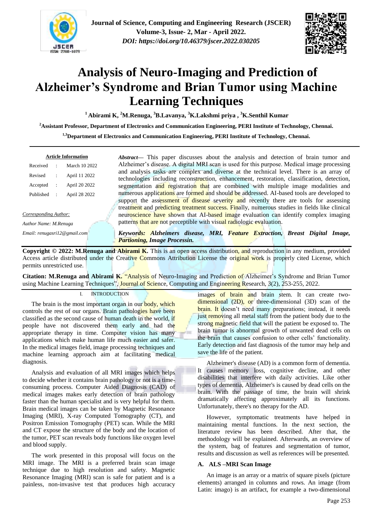



# **Analysis of Neuro-Imaging and Prediction of Alzheimer's Syndrome and Brian Tumor using Machine Learning Techniques**

**<sup>1</sup>Abirami K, <sup>2</sup>M.Renuga, <sup>3</sup>B.Lavanya, <sup>3</sup>K.Lakshmi priya , <sup>3</sup>K.Senthil Kumar**

**<sup>2</sup>Assistant Professor, Department of Electronics and Communication Engineering, PERI Institute of Technology, Chennai.**

**1,3Department of Electronics and Communication Engineering, PERI Institute of Technology, Chennai.**

| <b>Article Information</b> |               |  |  |  |  |  |  |
|----------------------------|---------------|--|--|--|--|--|--|
|                            | March 10 2022 |  |  |  |  |  |  |
|                            | April 11 2022 |  |  |  |  |  |  |
|                            | April 20 2022 |  |  |  |  |  |  |
|                            | April 28 2022 |  |  |  |  |  |  |
|                            |               |  |  |  |  |  |  |

*Corresponding Author:*

*Author Name: M.Renuga*

*Email: renugasri12@gmail.com*

*Abstract***—** This paper discusses about the analysis and detection of brain tumor and Alzheimer's disease. A digital MRI scan is used for this purpose. Medical image processing and analysis tasks are complex and diverse at the technical level. There is an array of technologies including reconstruction, enhancement, restoration, classification, detection, segmentation and registration that are combined with multiple image modalities and numerous applications are formed and should be addressed. AI-based tools are developed to support the assessment of disease severity and recently there are tools for assessing treatment and predicting treatment success. Finally, numerous studies in fields like clinical neuroscience have shown that AI-based image evaluation can identify complex imaging patterns that are not perceptible with visual radiologic evaluation.

*Keywords: Alzheimers disease, MRI, Feature Extraction, Breast Digital Image, Partioning, Image Processin.*

**Copyright © 2022: M.Renuga and Abirami K.** This is an open access distribution, and reproduction in any medium, provided Access article distributed under the Creative Commons Attribution License the original work is properly cited License, which permits unrestricted use.

**Citation: M.Renuga and Abirami K.** "Analysis of Neuro-Imaging and Prediction of Alzheimer's Syndrome and Brian Tumor using Machine Learning Techniques", Journal of Science, Computing and Engineering Research, 3(2), 253-255, 2022.

## I. INTRODUCTION

The brain is the most important organ in our **body**, which controls the rest of our organs. Brain pathologies have been classified as the second cause of human death in the world, if people have not discovered them early and had the appropriate therapy in time. Computer vision has many applications which make human life much easier and safer. In the medical images field, image processing techniques and machine learning approach aim at facilitating medical diagnosis.

Analysis and evaluation of all MRI images which helps to decide whether it contains brain pathology or not is a timeconsuming process. Computer Aided Diagnosis (CAD) of medical images makes early detection of brain pathology faster than the human specialist and is very helpful for them. Brain medical images can be taken by Magnetic Resonance Imaging (MRI), X-ray Computed Tomography (CT), and Positron Emission Tomography (PET) scan. While the MRI and CT expose the structure of the body and the location of the tumor, PET scan reveals body functions like oxygen level and blood supply.

The work presented in this proposal will focus on the MRI image. The MRI is a preferred brain scan image technique due to high resolution and safety. Magnetic Resonance Imaging (MRI) scan is safe for patient and is a painless, non-invasive test that produces high accuracy

images of brain and brain stem. It can create twodimensional (2D), or three-dimensional (3D) scan of the brain. It doesn't need many preparations; instead, it needs just removing all metal staff from the patient body due to the strong magnetic field that will the patient be exposed to. The brain tumor is abnormal growth of unwanted dead cells on the brain that causes confusion to other cells' functionality. Early detection and fast diagnosis of the tumor may help and save the life of the patient.

Alzheimer's disease (AD) is a common form of dementia. It causes memory loss, cognitive decline, and other disabilities that interfere with daily activities. Like other types of dementia, Alzheimer's is caused by dead cells on the brain. With the passage of time, the brain will shrink dramatically affecting approximately all its functions. Unfortunately, there's no therapy for the AD.

However, symptomatic treatments have helped in maintaining mental functions. In the next section, the literature review has been described. After that, the methodology will be explained. Afterwards, an overview of the system, bag of features and segmentation of tumor, results and discussion as well as references will be presented.

## **A. ALS –MRI Scan Image**

An image is an array or a matrix of square pixels (picture elements) arranged in columns and rows. An image (from [Latin:](http://en.wikipedia.org/wiki/Latin_language) imago) is an artifact, for example a [two-dimensional](http://en.wikipedia.org/wiki/Two-dimensional)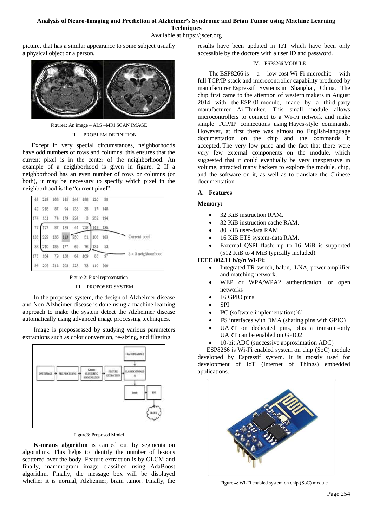#### **Analysis of Neuro-Imaging and Prediction of Alzheimer's Syndrome and Brian Tumor using Machine Learning Techniques**

Available at https://jscer.org

picture, that has a similar appearance to some subject usually a physical object or a [person.](http://en.wikipedia.org/wiki/Person)



Figure1: An image – ALS –MRI SCAN IMAGE II. PROBLEM DEFINITION

Except in very special circumstances, neighborhoods have odd numbers of rows and columns; this ensures that the current pixel is in the center of the neighborhood. An example of a neighborhood is given in figure. 2 If a neighborhood has an even number of rows or columns (or both), it may be necessary to specify which pixel in the neighborhood is the "current pixel".

| 48  | 219 | 168 | 145 | 244 | 188 | 120    | 58      |                            |
|-----|-----|-----|-----|-----|-----|--------|---------|----------------------------|
| 49  | 218 | 87  | 94  | 133 | 35  |        | 17 148  |                            |
| 174 | 151 | 74  | 179 | 224 | 3   | 252    | 194     | Current pixel              |
| 77  | 127 | 87  | 139 | 44  | 228 |        | 149 135 |                            |
| 138 | 229 | 136 | 113 | 250 | 51  | 108    | 163     |                            |
| 38  | 210 | 185 | 177 | 69  | 76  | 131    | 53      | $3 \times 5$ neighbourhood |
| 178 | 164 | 79  | 158 | 64  | 169 | 85     | 97      |                            |
| 96  | 209 | 214 | 203 | 223 |     | 73 110 | 200     |                            |

Figure 2: Pixel representation

#### III. PROPOSED SYSTEM

In the proposed system, the design of Alzheimer disease and Non-Alzheimer disease is done using a machine learning approach to make the system detect the Alzheimer disease automatically using advanced image processing techniques.

Image is prepossessed by studying various parameters extractions such as color conversion, re-sizing, and filtering.



Figure3: Proposed Model

**K-means algorithm** is carried out by segmentation algorithms. This helps to identify the number of lesions scattered over the body. Feature extraction is by GLCM and finally, mammogram image classified using AdaBoost algorithm. Finally, the message box will be displayed whether it is normal, Alzheimer, brain tumor. Finally, the

results have been updated in IoT which have been only accessible by the doctors with a user ID and password.

## IV. ESP8266 MODULE

The ESP8266 is a low-cost [Wi-Fi](https://en.wikipedia.org/wiki/Wi-Fi) microchip with full [TCP/IP](https://en.wikipedia.org/wiki/TCP/IP_stack) stack and [microcontroller](https://en.wikipedia.org/wiki/Microcontroller) capability produced by manufacturer [Espressif Systems](https://en.wikipedia.org/w/index.php?title=Espressif_Systems&action=edit&redlink=1) in Shanghai, China. The chip first came to the attention of western [makers](https://en.wikipedia.org/wiki/Maker_culture) in August 2014 with the ESP-01 module, made by a third-party manufacturer Ai-Thinker. This small module allows microcontrollers to connect to a Wi-Fi network and make simple TCP/IP connections using [Hayes-](https://en.wikipedia.org/wiki/Hayes_command_set)style commands. However, at first there was almost no English-language documentation on the chip and the commands it accepted. The very low price and the fact that there were very few external components on the module, which suggested that it could eventually be very inexpensive in volume, attracted many hackers to explore the module, chip, and the software on it, as well as to translate the Chinese documentation

## **A. Features**

## **Memory:**

- 32 KiB instruction RAM.
- 32 KiB instruction cache RAM.
- 80 KiB user-data RAM.
- 16 KiB ETS system-data RAM.
- External QSPI flash: up to 16 MiB is supported (512 KiB to 4 MiB typically included).

## **IEEE 802.11 b/g/n Wi-Fi:**

- Integrated TR switch, balun, LNA, power amplifier and matching network.
- WEP or WPA/WPA2 authentication, or open networks
- 16 GPIO pins
- SPI
- I²C (software implementation)[6]
- I²S interfaces with DMA (sharing pins with GPIO)
- UART on dedicated pins, plus a transmit-only UART can be enabled on GPIO2
- 10-bit ADC (successive approximation ADC)

ESP8266 is Wi-Fi enabled system on chip (SoC) module developed by Espressif system. It is mostly used for development of IoT (Internet of Things) embedded applications.



Figure 4: Wi-Fi enabled system on chip (SoC) module